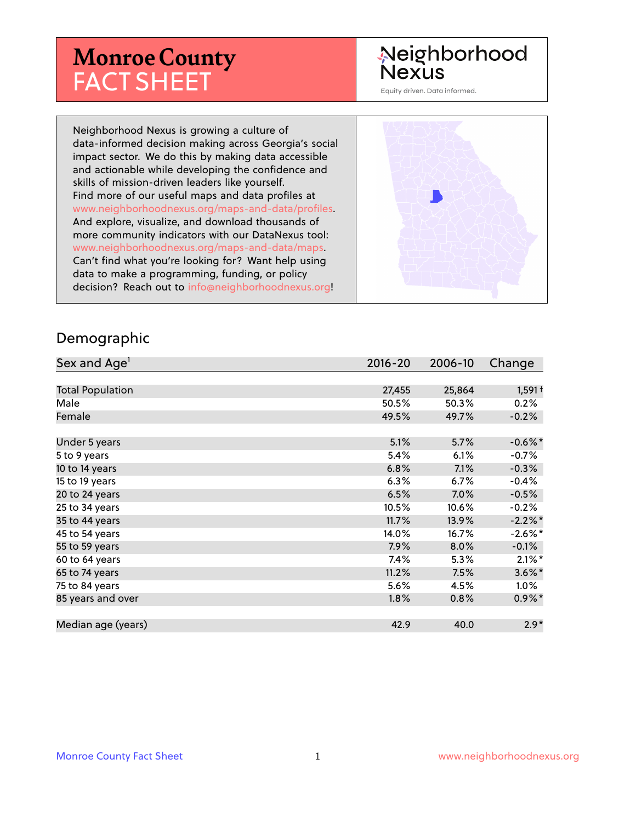# **Monroe County** FACT SHEET

## Neighborhood **Nexus**

Equity driven. Data informed.

Neighborhood Nexus is growing a culture of data-informed decision making across Georgia's social impact sector. We do this by making data accessible and actionable while developing the confidence and skills of mission-driven leaders like yourself. Find more of our useful maps and data profiles at www.neighborhoodnexus.org/maps-and-data/profiles. And explore, visualize, and download thousands of more community indicators with our DataNexus tool: www.neighborhoodnexus.org/maps-and-data/maps. Can't find what you're looking for? Want help using data to make a programming, funding, or policy decision? Reach out to [info@neighborhoodnexus.org!](mailto:info@neighborhoodnexus.org)



#### Demographic

| Sex and Age <sup>1</sup> | $2016 - 20$ | 2006-10 | Change               |
|--------------------------|-------------|---------|----------------------|
|                          |             |         |                      |
| <b>Total Population</b>  | 27,455      | 25,864  | $1,591+$             |
| Male                     | 50.5%       | 50.3%   | 0.2%                 |
| Female                   | 49.5%       | 49.7%   | $-0.2%$              |
|                          |             |         |                      |
| Under 5 years            | 5.1%        | 5.7%    | $-0.6%$ *            |
| 5 to 9 years             | 5.4%        | 6.1%    | $-0.7%$              |
| 10 to 14 years           | 6.8%        | 7.1%    | $-0.3%$              |
| 15 to 19 years           | 6.3%        | 6.7%    | $-0.4%$              |
| 20 to 24 years           | 6.5%        | 7.0%    | $-0.5%$              |
| 25 to 34 years           | 10.5%       | 10.6%   | $-0.2%$              |
| 35 to 44 years           | 11.7%       | 13.9%   | $-2.2%$ *            |
| 45 to 54 years           | 14.0%       | 16.7%   | $-2.6\%$ *           |
| 55 to 59 years           | 7.9%        | 8.0%    | $-0.1%$              |
| 60 to 64 years           | $7.4\%$     | 5.3%    | $2.1\%$ *            |
| 65 to 74 years           | 11.2%       | 7.5%    | $3.6\%$ <sup>*</sup> |
| 75 to 84 years           | 5.6%        | 4.5%    | $1.0\%$              |
| 85 years and over        | 1.8%        | 0.8%    | $0.9\%*$             |
|                          |             |         |                      |
| Median age (years)       | 42.9        | 40.0    | $2.9*$               |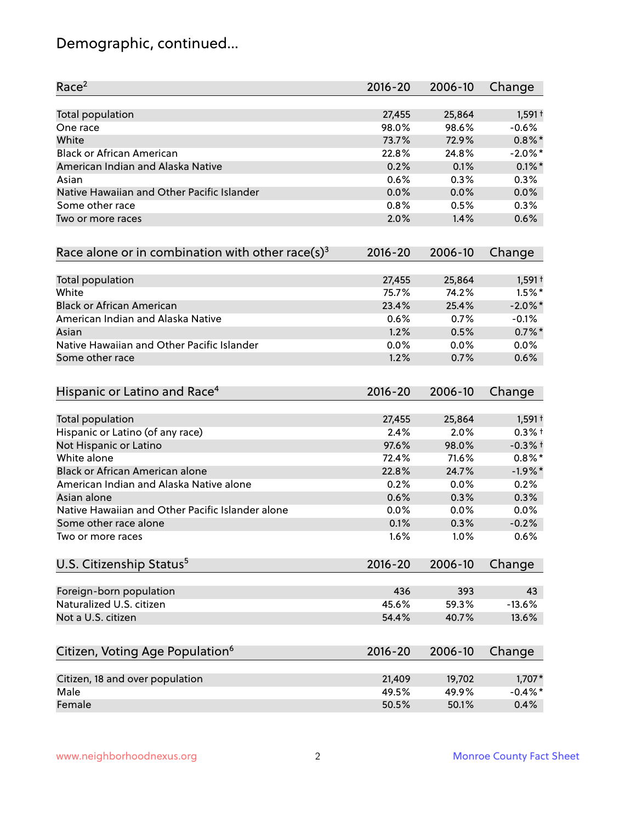## Demographic, continued...

| Race <sup>2</sup>                                            | $2016 - 20$ | 2006-10 | Change     |
|--------------------------------------------------------------|-------------|---------|------------|
| <b>Total population</b>                                      | 27,455      | 25,864  | $1,591+$   |
| One race                                                     | 98.0%       | 98.6%   | $-0.6%$    |
| White                                                        | 73.7%       | 72.9%   | $0.8\%$ *  |
| <b>Black or African American</b>                             | 22.8%       | 24.8%   | $-2.0\%$ * |
| American Indian and Alaska Native                            | 0.2%        | 0.1%    | $0.1\%$ *  |
| Asian                                                        | 0.6%        | 0.3%    | 0.3%       |
| Native Hawaiian and Other Pacific Islander                   | 0.0%        | 0.0%    | 0.0%       |
| Some other race                                              | 0.8%        | 0.5%    | 0.3%       |
| Two or more races                                            | 2.0%        | 1.4%    | 0.6%       |
| Race alone or in combination with other race(s) <sup>3</sup> | $2016 - 20$ | 2006-10 | Change     |
| Total population                                             | 27,455      | 25,864  | $1,591+$   |
| White                                                        | 75.7%       | 74.2%   | $1.5%$ *   |
| <b>Black or African American</b>                             | 23.4%       | 25.4%   | $-2.0\%$ * |
| American Indian and Alaska Native                            | 0.6%        | 0.7%    | $-0.1%$    |
| Asian                                                        | 1.2%        | 0.5%    | $0.7\%$ *  |
| Native Hawaiian and Other Pacific Islander                   | 0.0%        | 0.0%    | 0.0%       |
| Some other race                                              | 1.2%        | 0.7%    | 0.6%       |
| Hispanic or Latino and Race <sup>4</sup>                     | $2016 - 20$ | 2006-10 | Change     |
| Total population                                             | 27,455      | 25,864  | $1,591+$   |
| Hispanic or Latino (of any race)                             | 2.4%        | 2.0%    | $0.3%$ +   |
| Not Hispanic or Latino                                       | 97.6%       | 98.0%   | $-0.3%$ †  |
| White alone                                                  | 72.4%       | 71.6%   | $0.8\%$ *  |
| Black or African American alone                              | 22.8%       | 24.7%   | $-1.9%$ *  |
| American Indian and Alaska Native alone                      | 0.2%        | 0.0%    | 0.2%       |
| Asian alone                                                  | 0.6%        | 0.3%    | 0.3%       |
| Native Hawaiian and Other Pacific Islander alone             | 0.0%        | 0.0%    | 0.0%       |
| Some other race alone                                        | 0.1%        | 0.3%    | $-0.2%$    |
| Two or more races                                            | 1.6%        | 1.0%    | 0.6%       |
| U.S. Citizenship Status <sup>5</sup>                         | $2016 - 20$ | 2006-10 | Change     |
| Foreign-born population                                      | 436         | 393     | 43         |
| Naturalized U.S. citizen                                     | 45.6%       | 59.3%   | $-13.6%$   |
| Not a U.S. citizen                                           | 54.4%       | 40.7%   | 13.6%      |
| Citizen, Voting Age Population <sup>6</sup>                  | $2016 - 20$ | 2006-10 | Change     |
|                                                              |             |         |            |
| Citizen, 18 and over population                              | 21,409      | 19,702  | $1,707*$   |
| Male                                                         | 49.5%       | 49.9%   | $-0.4\%$ * |
| Female                                                       | 50.5%       | 50.1%   | 0.4%       |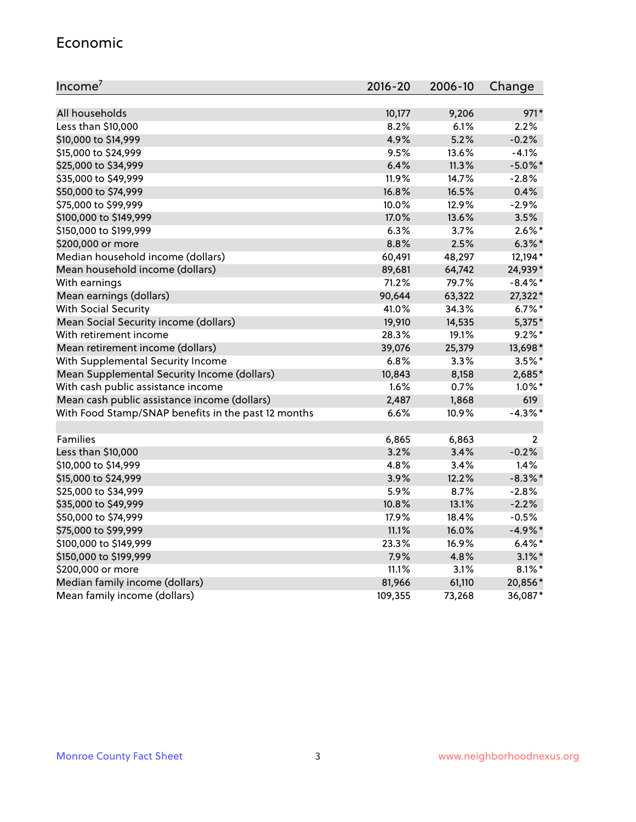#### Economic

| Income <sup>7</sup>                                 | $2016 - 20$ | 2006-10 | Change         |
|-----------------------------------------------------|-------------|---------|----------------|
|                                                     |             |         |                |
| All households                                      | 10,177      | 9,206   | $971*$         |
| Less than \$10,000                                  | 8.2%        | 6.1%    | 2.2%           |
| \$10,000 to \$14,999                                | 4.9%        | 5.2%    | $-0.2%$        |
| \$15,000 to \$24,999                                | 9.5%        | 13.6%   | $-4.1%$        |
| \$25,000 to \$34,999                                | 6.4%        | 11.3%   | $-5.0\%$ *     |
| \$35,000 to \$49,999                                | 11.9%       | 14.7%   | $-2.8%$        |
| \$50,000 to \$74,999                                | 16.8%       | 16.5%   | 0.4%           |
| \$75,000 to \$99,999                                | 10.0%       | 12.9%   | $-2.9%$        |
| \$100,000 to \$149,999                              | 17.0%       | 13.6%   | 3.5%           |
| \$150,000 to \$199,999                              | 6.3%        | 3.7%    | $2.6\%$ *      |
| \$200,000 or more                                   | 8.8%        | 2.5%    | $6.3\%$ *      |
| Median household income (dollars)                   | 60,491      | 48,297  | 12,194*        |
| Mean household income (dollars)                     | 89,681      | 64,742  | 24,939*        |
| With earnings                                       | 71.2%       | 79.7%   | $-8.4\%$ *     |
| Mean earnings (dollars)                             | 90,644      | 63,322  | 27,322*        |
| <b>With Social Security</b>                         | 41.0%       | 34.3%   | $6.7\%$ *      |
| Mean Social Security income (dollars)               | 19,910      | 14,535  | 5,375*         |
| With retirement income                              | 28.3%       | 19.1%   | $9.2\%$ *      |
| Mean retirement income (dollars)                    | 39,076      | 25,379  | 13,698*        |
| With Supplemental Security Income                   | $6.8\%$     | 3.3%    | $3.5%$ *       |
| Mean Supplemental Security Income (dollars)         | 10,843      | 8,158   | 2,685*         |
| With cash public assistance income                  | 1.6%        | 0.7%    | $1.0\%$ *      |
| Mean cash public assistance income (dollars)        | 2,487       | 1,868   | 619            |
| With Food Stamp/SNAP benefits in the past 12 months | 6.6%        | 10.9%   | $-4.3\%$ *     |
|                                                     |             |         |                |
| Families                                            | 6,865       | 6,863   | $\overline{2}$ |
| Less than \$10,000                                  | 3.2%        | 3.4%    | $-0.2%$        |
| \$10,000 to \$14,999                                | 4.8%        | 3.4%    | 1.4%           |
| \$15,000 to \$24,999                                | 3.9%        | 12.2%   | $-8.3\%$ *     |
| \$25,000 to \$34,999                                | 5.9%        | 8.7%    | $-2.8%$        |
| \$35,000 to \$49,999                                | 10.8%       | 13.1%   | $-2.2%$        |
| \$50,000 to \$74,999                                | 17.9%       | 18.4%   | $-0.5%$        |
| \$75,000 to \$99,999                                | 11.1%       | 16.0%   | $-4.9%$ *      |
| \$100,000 to \$149,999                              | 23.3%       | 16.9%   | $6.4\%$ *      |
| \$150,000 to \$199,999                              | 7.9%        | 4.8%    | $3.1\%$ *      |
| \$200,000 or more                                   | 11.1%       | 3.1%    | $8.1\%$ *      |
| Median family income (dollars)                      | 81,966      | 61,110  | 20,856*        |
| Mean family income (dollars)                        | 109,355     | 73,268  | 36,087*        |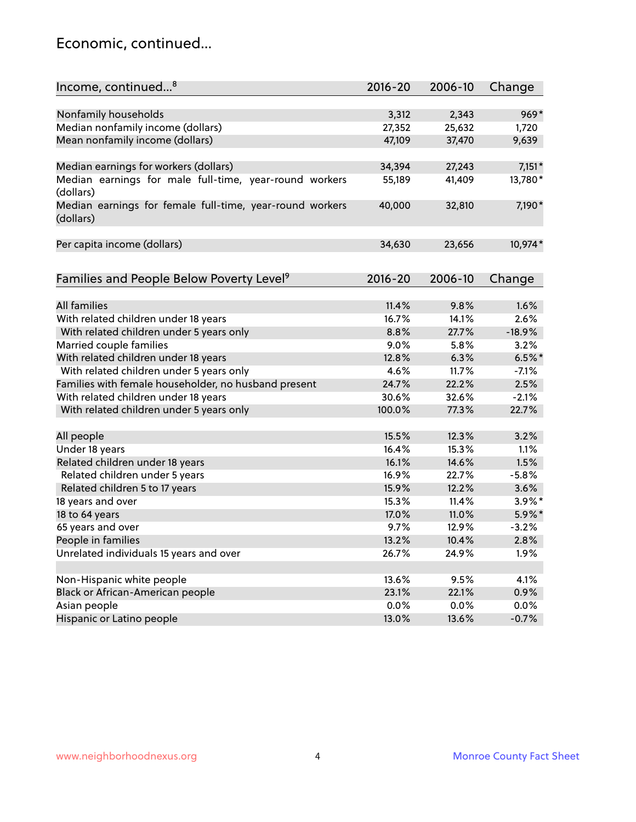### Economic, continued...

| Income, continued <sup>8</sup>                                        | $2016 - 20$ | 2006-10 | Change    |
|-----------------------------------------------------------------------|-------------|---------|-----------|
|                                                                       |             |         |           |
| Nonfamily households                                                  | 3,312       | 2,343   | $969*$    |
| Median nonfamily income (dollars)                                     | 27,352      | 25,632  | 1,720     |
| Mean nonfamily income (dollars)                                       | 47,109      | 37,470  | 9,639     |
| Median earnings for workers (dollars)                                 | 34,394      | 27,243  | $7,151*$  |
| Median earnings for male full-time, year-round workers                | 55,189      | 41,409  | 13,780*   |
| (dollars)                                                             |             |         |           |
| Median earnings for female full-time, year-round workers<br>(dollars) | 40,000      | 32,810  | 7,190*    |
| Per capita income (dollars)                                           | 34,630      | 23,656  | 10,974*   |
|                                                                       |             |         |           |
| Families and People Below Poverty Level <sup>9</sup>                  | $2016 - 20$ | 2006-10 | Change    |
|                                                                       |             |         |           |
| <b>All families</b>                                                   | 11.4%       | 9.8%    | 1.6%      |
| With related children under 18 years                                  | 16.7%       | 14.1%   | 2.6%      |
| With related children under 5 years only                              | 8.8%        | 27.7%   | $-18.9%$  |
| Married couple families                                               | 9.0%        | 5.8%    | 3.2%      |
| With related children under 18 years                                  | 12.8%       | 6.3%    | $6.5%$ *  |
| With related children under 5 years only                              | 4.6%        | 11.7%   | $-7.1%$   |
| Families with female householder, no husband present                  | 24.7%       | 22.2%   | 2.5%      |
| With related children under 18 years                                  | 30.6%       | 32.6%   | $-2.1%$   |
| With related children under 5 years only                              | 100.0%      | 77.3%   | 22.7%     |
| All people                                                            | 15.5%       | 12.3%   | 3.2%      |
| Under 18 years                                                        | 16.4%       | 15.3%   | 1.1%      |
| Related children under 18 years                                       | 16.1%       | 14.6%   | 1.5%      |
| Related children under 5 years                                        | 16.9%       | 22.7%   | $-5.8%$   |
| Related children 5 to 17 years                                        | 15.9%       | 12.2%   | 3.6%      |
| 18 years and over                                                     | 15.3%       | 11.4%   | $3.9\%$ * |
| 18 to 64 years                                                        | 17.0%       | 11.0%   | 5.9%*     |
| 65 years and over                                                     | 9.7%        | 12.9%   | $-3.2%$   |
| People in families                                                    | 13.2%       | 10.4%   | 2.8%      |
| Unrelated individuals 15 years and over                               | 26.7%       | 24.9%   | 1.9%      |
|                                                                       |             |         |           |
| Non-Hispanic white people                                             | 13.6%       | 9.5%    | 4.1%      |
| Black or African-American people                                      | 23.1%       | 22.1%   | 0.9%      |
| Asian people                                                          | 0.0%        | 0.0%    | 0.0%      |
| Hispanic or Latino people                                             | 13.0%       | 13.6%   | $-0.7%$   |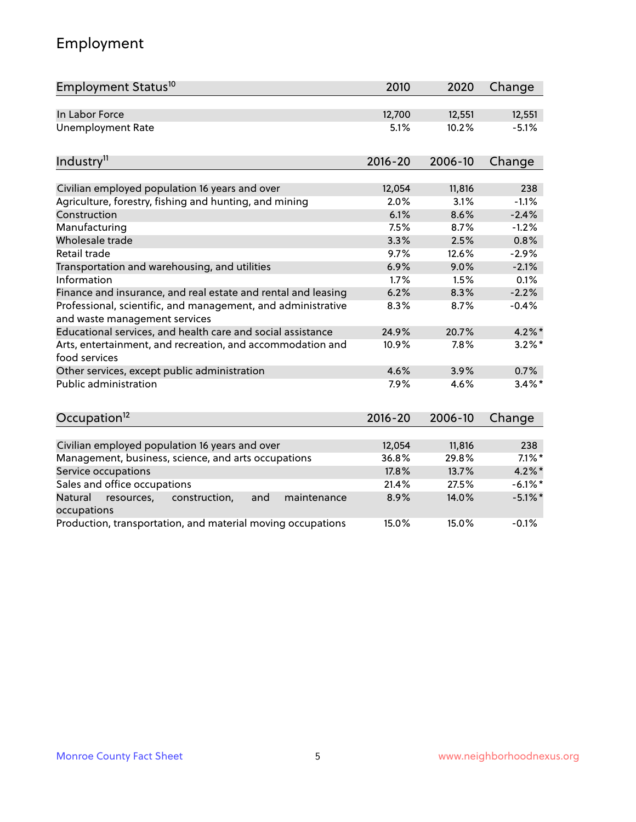## Employment

| Employment Status <sup>10</sup>                                                               | 2010         | 2020          | Change             |
|-----------------------------------------------------------------------------------------------|--------------|---------------|--------------------|
| In Labor Force                                                                                | 12,700       | 12,551        | 12,551             |
| <b>Unemployment Rate</b>                                                                      | 5.1%         | 10.2%         | $-5.1%$            |
| Industry <sup>11</sup>                                                                        | $2016 - 20$  | 2006-10       | Change             |
|                                                                                               |              |               |                    |
| Civilian employed population 16 years and over                                                | 12,054       | 11,816        | 238                |
| Agriculture, forestry, fishing and hunting, and mining                                        | 2.0%         | 3.1%          | $-1.1%$            |
| Construction                                                                                  | 6.1%         | 8.6%          | $-2.4%$            |
| Manufacturing                                                                                 | 7.5%         | 8.7%          | $-1.2%$            |
| Wholesale trade                                                                               | 3.3%         | 2.5%          | 0.8%               |
| Retail trade                                                                                  | 9.7%<br>6.9% | 12.6%<br>9.0% | $-2.9%$<br>$-2.1%$ |
| Transportation and warehousing, and utilities<br>Information                                  |              |               |                    |
|                                                                                               | 1.7%         | 1.5%          | 0.1%               |
| Finance and insurance, and real estate and rental and leasing                                 | 6.2%         | 8.3%          | $-2.2%$            |
| Professional, scientific, and management, and administrative<br>and waste management services | 8.3%         | 8.7%          | $-0.4%$            |
| Educational services, and health care and social assistance                                   | 24.9%        | 20.7%         | $4.2\%$ *          |
| Arts, entertainment, and recreation, and accommodation and<br>food services                   | 10.9%        | 7.8%          | $3.2\%$ *          |
| Other services, except public administration                                                  | 4.6%         | 3.9%          | 0.7%               |
| <b>Public administration</b>                                                                  | 7.9%         | 4.6%          | $3.4\%$ *          |
| Occupation <sup>12</sup>                                                                      | $2016 - 20$  | 2006-10       | Change             |
|                                                                                               |              |               |                    |
| Civilian employed population 16 years and over                                                | 12,054       | 11,816        | 238                |
| Management, business, science, and arts occupations                                           | 36.8%        | 29.8%         | $7.1\%$ *          |
| Service occupations                                                                           | 17.8%        | 13.7%         | $4.2\%$ *          |
| Sales and office occupations                                                                  | 21.4%        | 27.5%         | $-6.1\%$ *         |
| Natural<br>resources,<br>construction,<br>and<br>maintenance<br>occupations                   | 8.9%         | 14.0%         | $-5.1\%$ *         |
| Production, transportation, and material moving occupations                                   | 15.0%        | 15.0%         | $-0.1%$            |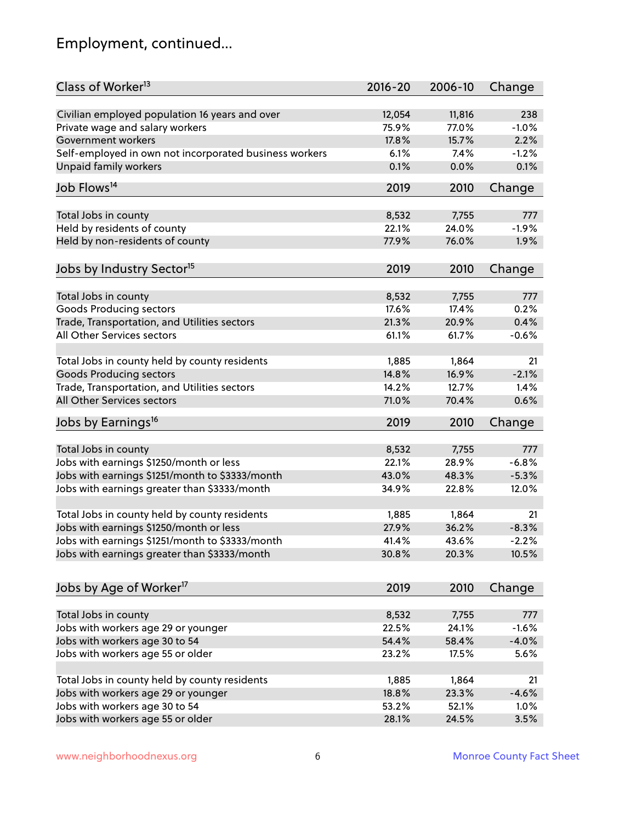## Employment, continued...

| Class of Worker <sup>13</sup>                          | $2016 - 20$ | 2006-10 | Change   |
|--------------------------------------------------------|-------------|---------|----------|
| Civilian employed population 16 years and over         | 12,054      | 11,816  | 238      |
| Private wage and salary workers                        | 75.9%       | 77.0%   | $-1.0%$  |
| Government workers                                     | 17.8%       | 15.7%   | 2.2%     |
| Self-employed in own not incorporated business workers | 6.1%        | 7.4%    | $-1.2%$  |
| <b>Unpaid family workers</b>                           | 0.1%        | 0.0%    | 0.1%     |
|                                                        |             |         |          |
| Job Flows <sup>14</sup>                                | 2019        | 2010    | Change   |
| Total Jobs in county                                   | 8,532       | 7,755   | 777      |
| Held by residents of county                            | 22.1%       | 24.0%   | $-1.9%$  |
| Held by non-residents of county                        | 77.9%       | 76.0%   | 1.9%     |
|                                                        |             |         |          |
| Jobs by Industry Sector <sup>15</sup>                  | 2019        | 2010    | Change   |
| Total Jobs in county                                   | 8,532       | 7,755   | 777      |
| <b>Goods Producing sectors</b>                         | 17.6%       | 17.4%   | 0.2%     |
| Trade, Transportation, and Utilities sectors           | 21.3%       | 20.9%   | 0.4%     |
| All Other Services sectors                             | 61.1%       | 61.7%   | $-0.6%$  |
|                                                        |             |         |          |
| Total Jobs in county held by county residents          | 1,885       | 1,864   | 21       |
| <b>Goods Producing sectors</b>                         | 14.8%       | 16.9%   | $-2.1%$  |
| Trade, Transportation, and Utilities sectors           | 14.2%       | 12.7%   | 1.4%     |
| All Other Services sectors                             | 71.0%       | 70.4%   | 0.6%     |
| Jobs by Earnings <sup>16</sup>                         | 2019        | 2010    | Change   |
|                                                        |             |         |          |
| Total Jobs in county                                   | 8,532       | 7,755   | 777      |
| Jobs with earnings \$1250/month or less                | 22.1%       | 28.9%   | $-6.8%$  |
| Jobs with earnings \$1251/month to \$3333/month        | 43.0%       | 48.3%   | $-5.3%$  |
| Jobs with earnings greater than \$3333/month           | 34.9%       | 22.8%   | 12.0%    |
|                                                        |             |         |          |
| Total Jobs in county held by county residents          | 1,885       | 1,864   | 21       |
| Jobs with earnings \$1250/month or less                | 27.9%       | 36.2%   | $-8.3%$  |
| Jobs with earnings \$1251/month to \$3333/month        | 41.4%       | 43.6%   | $-2.2\%$ |
| Jobs with earnings greater than \$3333/month           | 30.8%       | 20.3%   | 10.5%    |
| Jobs by Age of Worker <sup>17</sup>                    | 2019        | 2010    | Change   |
|                                                        |             |         |          |
| Total Jobs in county                                   | 8,532       | 7,755   | 777      |
| Jobs with workers age 29 or younger                    | 22.5%       | 24.1%   | $-1.6%$  |
| Jobs with workers age 30 to 54                         | 54.4%       | 58.4%   | $-4.0%$  |
| Jobs with workers age 55 or older                      | 23.2%       | 17.5%   | 5.6%     |
|                                                        |             |         |          |
| Total Jobs in county held by county residents          | 1,885       | 1,864   | 21       |
| Jobs with workers age 29 or younger                    | 18.8%       | 23.3%   | $-4.6%$  |
| Jobs with workers age 30 to 54                         | 53.2%       | 52.1%   | 1.0%     |
| Jobs with workers age 55 or older                      | 28.1%       | 24.5%   | 3.5%     |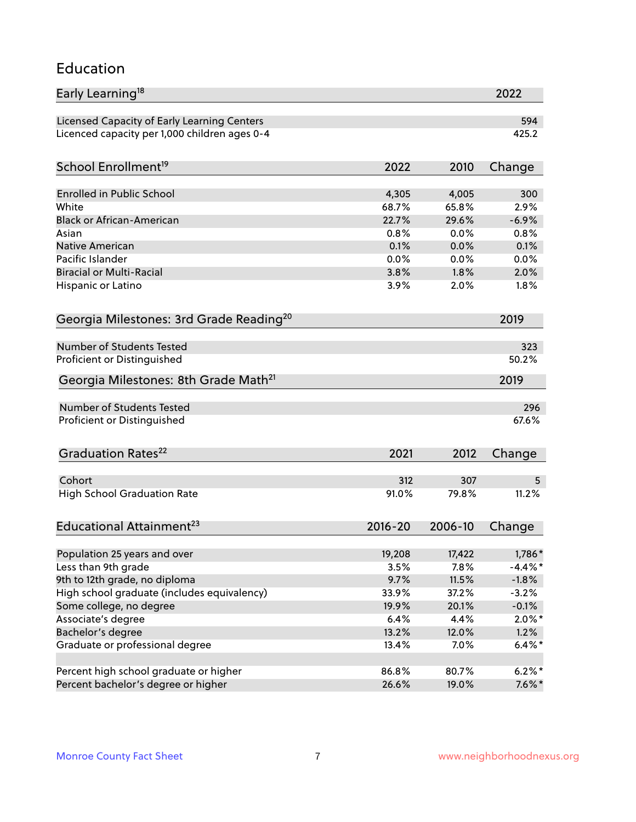#### Education

| Early Learning <sup>18</sup>                        |             |         | 2022       |
|-----------------------------------------------------|-------------|---------|------------|
| Licensed Capacity of Early Learning Centers         |             |         | 594        |
| Licenced capacity per 1,000 children ages 0-4       |             |         | 425.2      |
| School Enrollment <sup>19</sup>                     | 2022        | 2010    | Change     |
|                                                     |             |         |            |
| <b>Enrolled in Public School</b>                    | 4,305       | 4,005   | 300        |
| White                                               | 68.7%       | 65.8%   | 2.9%       |
| <b>Black or African-American</b>                    | 22.7%       | 29.6%   | $-6.9%$    |
| Asian                                               | 0.8%        | 0.0%    | 0.8%       |
| <b>Native American</b>                              | 0.1%        | 0.0%    | 0.1%       |
| Pacific Islander                                    | 0.0%        | 0.0%    | 0.0%       |
| <b>Biracial or Multi-Racial</b>                     | 3.8%        | 1.8%    | 2.0%       |
| Hispanic or Latino                                  | 3.9%        | 2.0%    | 1.8%       |
| Georgia Milestones: 3rd Grade Reading <sup>20</sup> |             |         | 2019       |
|                                                     |             |         |            |
| Number of Students Tested                           |             |         | 323        |
| Proficient or Distinguished                         |             |         | 50.2%      |
| Georgia Milestones: 8th Grade Math <sup>21</sup>    |             |         | 2019       |
| <b>Number of Students Tested</b>                    |             |         | 296        |
| Proficient or Distinguished                         |             |         | 67.6%      |
|                                                     |             |         |            |
| Graduation Rates <sup>22</sup>                      | 2021        | 2012    | Change     |
|                                                     |             |         |            |
| Cohort                                              | 312         | 307     | 5          |
| <b>High School Graduation Rate</b>                  | 91.0%       | 79.8%   | 11.2%      |
| Educational Attainment <sup>23</sup>                | $2016 - 20$ | 2006-10 | Change     |
|                                                     |             |         |            |
| Population 25 years and over                        | 19,208      | 17,422  | 1,786*     |
| Less than 9th grade                                 | 3.5%        | 7.8%    | $-4.4\%$ * |
| 9th to 12th grade, no diploma                       | 9.7%        | 11.5%   | $-1.8%$    |
| High school graduate (includes equivalency)         | 33.9%       | 37.2%   | $-3.2%$    |
| Some college, no degree                             | 19.9%       | 20.1%   | $-0.1%$    |
| Associate's degree                                  | 6.4%        | 4.4%    | $2.0\%$ *  |
| Bachelor's degree                                   | 13.2%       | 12.0%   | 1.2%       |
| Graduate or professional degree                     | 13.4%       | 7.0%    | $6.4\%$ *  |
| Percent high school graduate or higher              | 86.8%       | 80.7%   | $6.2%$ *   |
| Percent bachelor's degree or higher                 | 26.6%       | 19.0%   | $7.6\%$ *  |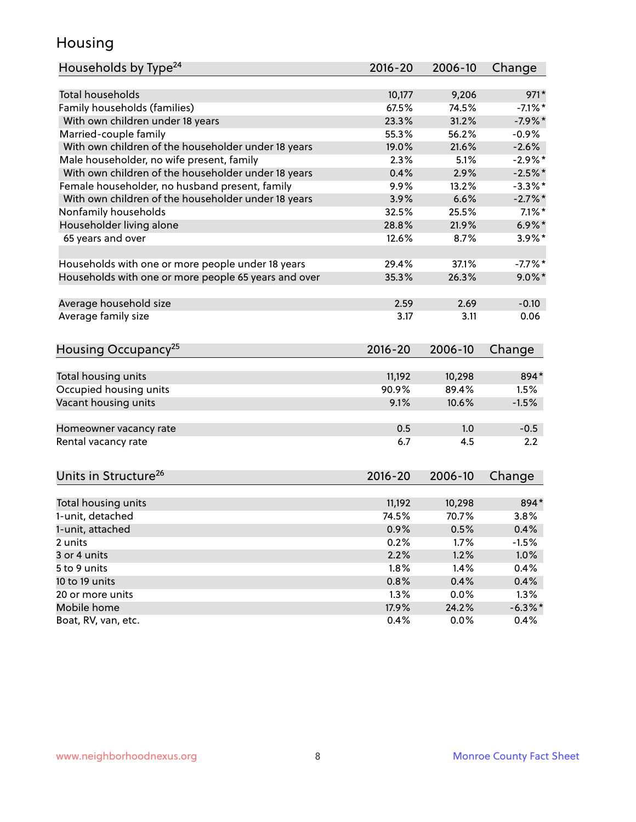### Housing

| Households by Type <sup>24</sup>                     | 2016-20     | 2006-10 | Change     |
|------------------------------------------------------|-------------|---------|------------|
|                                                      |             |         |            |
| Total households                                     | 10,177      | 9,206   | $971*$     |
| Family households (families)                         | 67.5%       | 74.5%   | $-7.1\%$ * |
| With own children under 18 years                     | 23.3%       | 31.2%   | $-7.9%$ *  |
| Married-couple family                                | 55.3%       | 56.2%   | $-0.9%$    |
| With own children of the householder under 18 years  | 19.0%       | 21.6%   | $-2.6%$    |
| Male householder, no wife present, family            | 2.3%        | 5.1%    | $-2.9%$ *  |
| With own children of the householder under 18 years  | 0.4%        | 2.9%    | $-2.5%$    |
| Female householder, no husband present, family       | 9.9%        | 13.2%   | $-3.3\%$ * |
| With own children of the householder under 18 years  | 3.9%        | 6.6%    | $-2.7%$ *  |
| Nonfamily households                                 | 32.5%       | 25.5%   | $7.1\%$ *  |
| Householder living alone                             | 28.8%       | 21.9%   | $6.9\%$ *  |
| 65 years and over                                    | 12.6%       | 8.7%    | $3.9\%$ *  |
|                                                      |             |         |            |
| Households with one or more people under 18 years    | 29.4%       | 37.1%   | $-7.7%$ *  |
| Households with one or more people 65 years and over | 35.3%       | 26.3%   | $9.0\%$ *  |
| Average household size                               | 2.59        | 2.69    | $-0.10$    |
| Average family size                                  | 3.17        | 3.11    | 0.06       |
|                                                      |             |         |            |
| Housing Occupancy <sup>25</sup>                      | $2016 - 20$ | 2006-10 | Change     |
|                                                      |             |         |            |
| Total housing units                                  | 11,192      | 10,298  | 894*       |
| Occupied housing units                               | 90.9%       | 89.4%   | 1.5%       |
| Vacant housing units                                 | 9.1%        | 10.6%   | $-1.5%$    |
| Homeowner vacancy rate                               | 0.5         | 1.0     | $-0.5$     |
| Rental vacancy rate                                  | 6.7         | 4.5     | 2.2        |
|                                                      |             |         |            |
| Units in Structure <sup>26</sup>                     | $2016 - 20$ | 2006-10 | Change     |
|                                                      |             |         |            |
| Total housing units                                  | 11,192      | 10,298  | 894*       |
| 1-unit, detached                                     | 74.5%       | 70.7%   | 3.8%       |
| 1-unit, attached                                     | 0.9%        | 0.5%    | 0.4%       |
| 2 units                                              | 0.2%        | 1.7%    | $-1.5%$    |
| 3 or 4 units                                         | 2.2%        | 1.2%    | 1.0%       |
| 5 to 9 units                                         | 1.8%        | 1.4%    | 0.4%       |
| 10 to 19 units                                       | 0.8%        | 0.4%    | 0.4%       |
| 20 or more units                                     | 1.3%        | 0.0%    | 1.3%       |
| Mobile home                                          | 17.9%       | 24.2%   | $-6.3\%$ * |
| Boat, RV, van, etc.                                  | 0.4%        | $0.0\%$ | 0.4%       |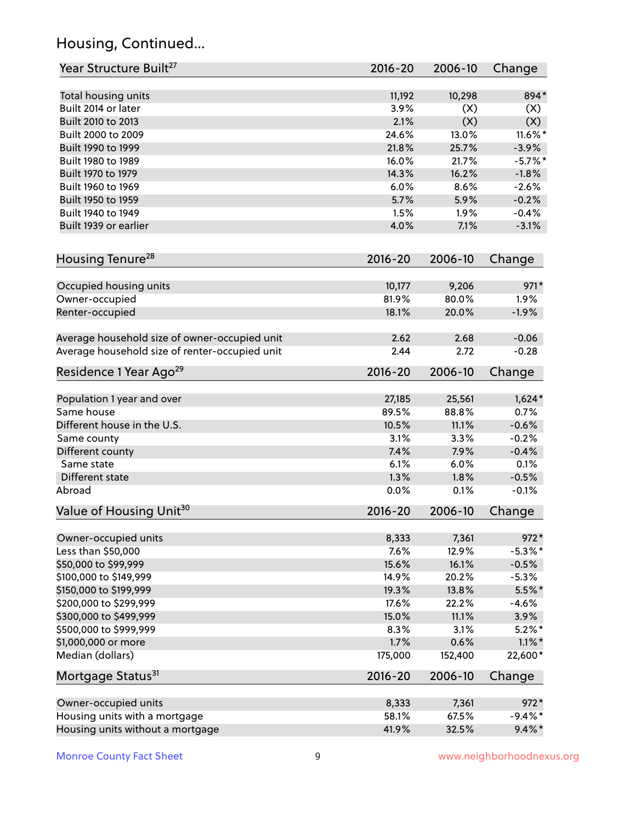## Housing, Continued...

| Year Structure Built <sup>27</sup>             | 2016-20     | 2006-10 | Change     |
|------------------------------------------------|-------------|---------|------------|
| Total housing units                            | 11,192      | 10,298  | 894*       |
| Built 2014 or later                            | 3.9%        | (X)     | (X)        |
| Built 2010 to 2013                             | 2.1%        | (X)     | (X)        |
| Built 2000 to 2009                             | 24.6%       | 13.0%   | $11.6\%$ * |
| Built 1990 to 1999                             | 21.8%       | 25.7%   | $-3.9%$    |
| Built 1980 to 1989                             | 16.0%       | 21.7%   | $-5.7\%$ * |
| Built 1970 to 1979                             | 14.3%       | 16.2%   | $-1.8%$    |
| Built 1960 to 1969                             | 6.0%        | 8.6%    | $-2.6%$    |
| Built 1950 to 1959                             | 5.7%        | 5.9%    | $-0.2%$    |
| Built 1940 to 1949                             | 1.5%        | 1.9%    | $-0.4%$    |
| Built 1939 or earlier                          | 4.0%        | 7.1%    | $-3.1%$    |
| Housing Tenure <sup>28</sup>                   | $2016 - 20$ | 2006-10 | Change     |
| Occupied housing units                         | 10,177      | 9,206   | 971*       |
| Owner-occupied                                 | 81.9%       | 80.0%   | 1.9%       |
| Renter-occupied                                | 18.1%       | 20.0%   | $-1.9%$    |
| Average household size of owner-occupied unit  | 2.62        | 2.68    | $-0.06$    |
| Average household size of renter-occupied unit | 2.44        | 2.72    | $-0.28$    |
| Residence 1 Year Ago <sup>29</sup>             | 2016-20     | 2006-10 | Change     |
| Population 1 year and over                     | 27,185      | 25,561  | $1,624*$   |
| Same house                                     | 89.5%       | 88.8%   | 0.7%       |
| Different house in the U.S.                    | 10.5%       | 11.1%   | $-0.6%$    |
| Same county                                    | 3.1%        | 3.3%    | $-0.2%$    |
| Different county                               | 7.4%        | 7.9%    | $-0.4%$    |
| Same state                                     | 6.1%        | 6.0%    | 0.1%       |
| Different state                                | 1.3%        | 1.8%    | $-0.5%$    |
| Abroad                                         | 0.0%        | 0.1%    | $-0.1%$    |
| Value of Housing Unit <sup>30</sup>            | $2016 - 20$ | 2006-10 | Change     |
| Owner-occupied units                           | 8,333       | 7,361   | $972*$     |
| Less than \$50,000                             | 7.6%        | 12.9%   | $-5.3\%$ * |
| \$50,000 to \$99,999                           | 15.6%       | 16.1%   | $-0.5%$    |
| \$100,000 to \$149,999                         | 14.9%       | 20.2%   | $-5.3%$    |
| \$150,000 to \$199,999                         | 19.3%       | 13.8%   | $5.5\%$ *  |
| \$200,000 to \$299,999                         | 17.6%       | 22.2%   | $-4.6%$    |
| \$300,000 to \$499,999                         | 15.0%       | 11.1%   | 3.9%       |
| \$500,000 to \$999,999                         | 8.3%        | 3.1%    | $5.2\%$ *  |
| \$1,000,000 or more                            | 1.7%        | 0.6%    | $1.1\%$ *  |
| Median (dollars)                               | 175,000     | 152,400 | 22,600*    |
| Mortgage Status <sup>31</sup>                  | 2016-20     | 2006-10 | Change     |
| Owner-occupied units                           | 8,333       | 7,361   | 972*       |
| Housing units with a mortgage                  | 58.1%       | 67.5%   | $-9.4%$ *  |
| Housing units without a mortgage               | 41.9%       | 32.5%   | $9.4\%$ *  |
|                                                |             |         |            |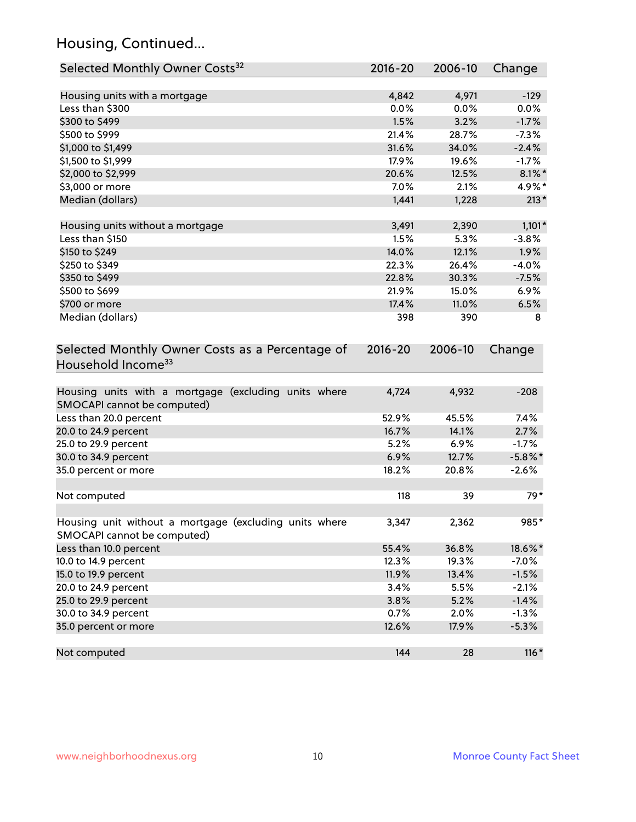## Housing, Continued...

| Selected Monthly Owner Costs <sup>32</sup>                                            | 2016-20     | 2006-10 | Change     |
|---------------------------------------------------------------------------------------|-------------|---------|------------|
| Housing units with a mortgage                                                         | 4,842       | 4,971   | $-129$     |
| Less than \$300                                                                       | 0.0%        | 0.0%    | 0.0%       |
| \$300 to \$499                                                                        | 1.5%        | 3.2%    | $-1.7%$    |
| \$500 to \$999                                                                        | 21.4%       | 28.7%   | $-7.3%$    |
| \$1,000 to \$1,499                                                                    | 31.6%       | 34.0%   | $-2.4%$    |
| \$1,500 to \$1,999                                                                    | 17.9%       | 19.6%   | $-1.7%$    |
| \$2,000 to \$2,999                                                                    | 20.6%       | 12.5%   | $8.1\%$ *  |
| \$3,000 or more                                                                       | 7.0%        | 2.1%    | 4.9%*      |
| Median (dollars)                                                                      | 1,441       | 1,228   | $213*$     |
|                                                                                       |             |         |            |
| Housing units without a mortgage                                                      | 3,491       | 2,390   | $1,101*$   |
| Less than \$150                                                                       | 1.5%        | 5.3%    | $-3.8%$    |
| \$150 to \$249                                                                        | 14.0%       | 12.1%   | 1.9%       |
| \$250 to \$349                                                                        | 22.3%       | 26.4%   | $-4.0%$    |
| \$350 to \$499                                                                        | 22.8%       | 30.3%   | $-7.5%$    |
| \$500 to \$699                                                                        | 21.9%       | 15.0%   | 6.9%       |
| \$700 or more                                                                         | 17.4%       | 11.0%   | 6.5%       |
| Median (dollars)                                                                      | 398         | 390     | 8          |
| Selected Monthly Owner Costs as a Percentage of<br>Household Income <sup>33</sup>     | $2016 - 20$ | 2006-10 | Change     |
| Housing units with a mortgage (excluding units where<br>SMOCAPI cannot be computed)   | 4,724       | 4,932   | $-208$     |
| Less than 20.0 percent                                                                | 52.9%       | 45.5%   | 7.4%       |
| 20.0 to 24.9 percent                                                                  | 16.7%       | 14.1%   | 2.7%       |
| 25.0 to 29.9 percent                                                                  | 5.2%        | 6.9%    | $-1.7%$    |
| 30.0 to 34.9 percent                                                                  | 6.9%        | 12.7%   | $-5.8\%$ * |
| 35.0 percent or more                                                                  | 18.2%       | 20.8%   | $-2.6%$    |
| Not computed                                                                          | 118         | 39      | 79*        |
| Housing unit without a mortgage (excluding units where<br>SMOCAPI cannot be computed) | 3,347       | 2,362   | 985*       |
| Less than 10.0 percent                                                                | 55.4%       | 36.8%   | 18.6%*     |
| 10.0 to 14.9 percent                                                                  | 12.3%       | 19.3%   | $-7.0%$    |
| 15.0 to 19.9 percent                                                                  | 11.9%       | 13.4%   | $-1.5%$    |
| 20.0 to 24.9 percent                                                                  | 3.4%        | 5.5%    | $-2.1%$    |
| 25.0 to 29.9 percent                                                                  | 3.8%        | 5.2%    | $-1.4%$    |
| 30.0 to 34.9 percent                                                                  | 0.7%        | 2.0%    | $-1.3%$    |
| 35.0 percent or more                                                                  | 12.6%       | 17.9%   | $-5.3%$    |
| Not computed                                                                          | 144         | 28      | $116*$     |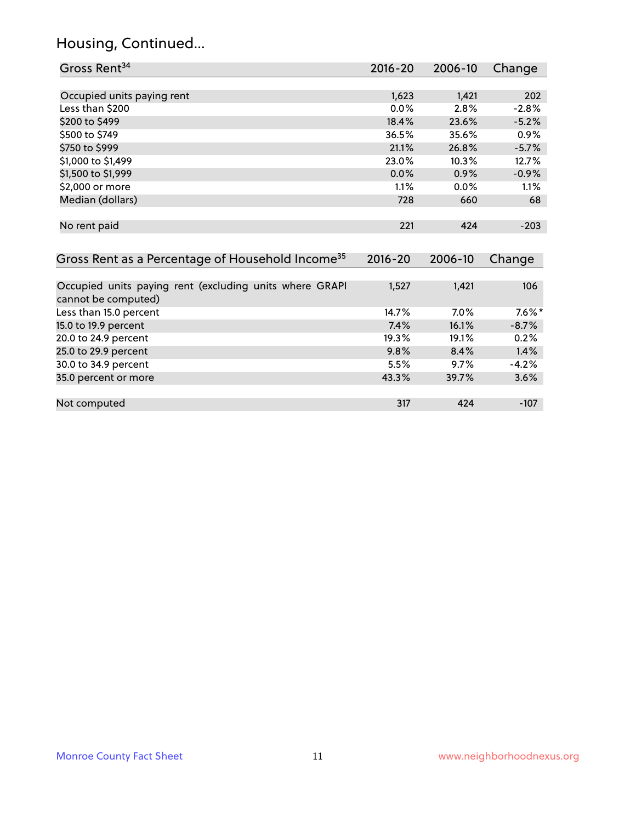## Housing, Continued...

| Gross Rent <sup>34</sup>                                                       | $2016 - 20$ | 2006-10 | Change   |
|--------------------------------------------------------------------------------|-------------|---------|----------|
|                                                                                |             |         |          |
| Occupied units paying rent                                                     | 1,623       | 1,421   | 202      |
| Less than \$200                                                                | 0.0%        | 2.8%    | $-2.8%$  |
| \$200 to \$499                                                                 | 18.4%       | 23.6%   | $-5.2%$  |
| \$500 to \$749                                                                 | 36.5%       | 35.6%   | 0.9%     |
| \$750 to \$999                                                                 | 21.1%       | 26.8%   | $-5.7%$  |
| \$1,000 to \$1,499                                                             | 23.0%       | 10.3%   | 12.7%    |
| \$1,500 to \$1,999                                                             | $0.0\%$     | 0.9%    | $-0.9%$  |
| \$2,000 or more                                                                | 1.1%        | 0.0%    | 1.1%     |
| Median (dollars)                                                               | 728         | 660     | 68       |
| No rent paid                                                                   | 221         | 424     | $-203$   |
| Gross Rent as a Percentage of Household Income <sup>35</sup>                   | $2016 - 20$ | 2006-10 | Change   |
| Occupied units paying rent (excluding units where GRAPI<br>cannot be computed) | 1,527       | 1,421   | 106      |
| Less than 15.0 percent                                                         | 14.7%       | 7.0%    | $7.6\%*$ |
| 15.0 to 19.9 percent                                                           | 7.4%        | 16.1%   | $-8.7%$  |
| 20.0 to 24.9 percent                                                           | 19.3%       | 19.1%   | 0.2%     |
| 25.0 to 29.9 percent                                                           | 9.8%        | 8.4%    | 1.4%     |
| 30.0 to 34.9 percent                                                           | 5.5%        | 9.7%    | $-4.2%$  |
| 35.0 percent or more                                                           | 43.3%       | 39.7%   | 3.6%     |
| Not computed                                                                   | 317         | 424     | $-107$   |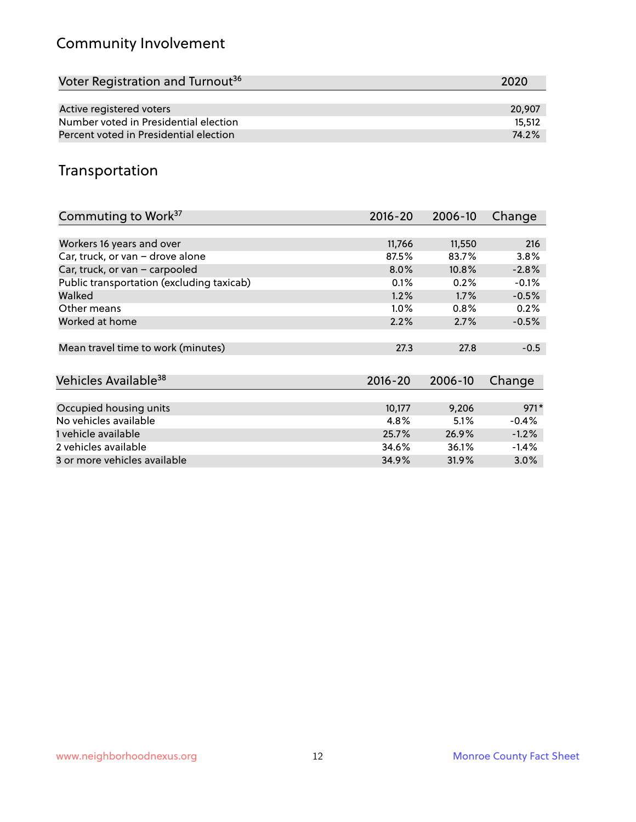## Community Involvement

| Voter Registration and Turnout <sup>36</sup> | 2020   |
|----------------------------------------------|--------|
|                                              |        |
| Active registered voters                     | 20,907 |
| Number voted in Presidential election        | 15,512 |
| Percent voted in Presidential election       | 74.2%  |

## Transportation

| Commuting to Work <sup>37</sup>           | $2016 - 20$ | 2006-10 | Change  |
|-------------------------------------------|-------------|---------|---------|
|                                           |             |         |         |
| Workers 16 years and over                 | 11,766      | 11,550  | 216     |
| Car, truck, or van - drove alone          | 87.5%       | 83.7%   | 3.8%    |
| Car, truck, or van - carpooled            | 8.0%        | 10.8%   | $-2.8%$ |
| Public transportation (excluding taxicab) | 0.1%        | 0.2%    | $-0.1%$ |
| Walked                                    | 1.2%        | 1.7%    | $-0.5%$ |
| Other means                               | $1.0\%$     | 0.8%    | 0.2%    |
| Worked at home                            | 2.2%        | 2.7%    | $-0.5%$ |
|                                           |             |         |         |
| Mean travel time to work (minutes)        | 27.3        | 27.8    | $-0.5$  |
|                                           |             |         |         |
| Vehicles Available <sup>38</sup>          | $2016 - 20$ | 2006-10 | Change  |
|                                           |             |         |         |
| Occupied housing units                    | 10,177      | 9,206   | $971*$  |
| No vehicles available                     | 4.8%        | 5.1%    | $-0.4%$ |
| 1 vehicle available                       | 25.7%       | 26.9%   | $-1.2%$ |
| 2 vehicles available                      | 34.6%       | 36.1%   | $-1.4%$ |
| 3 or more vehicles available              | 34.9%       | 31.9%   | $3.0\%$ |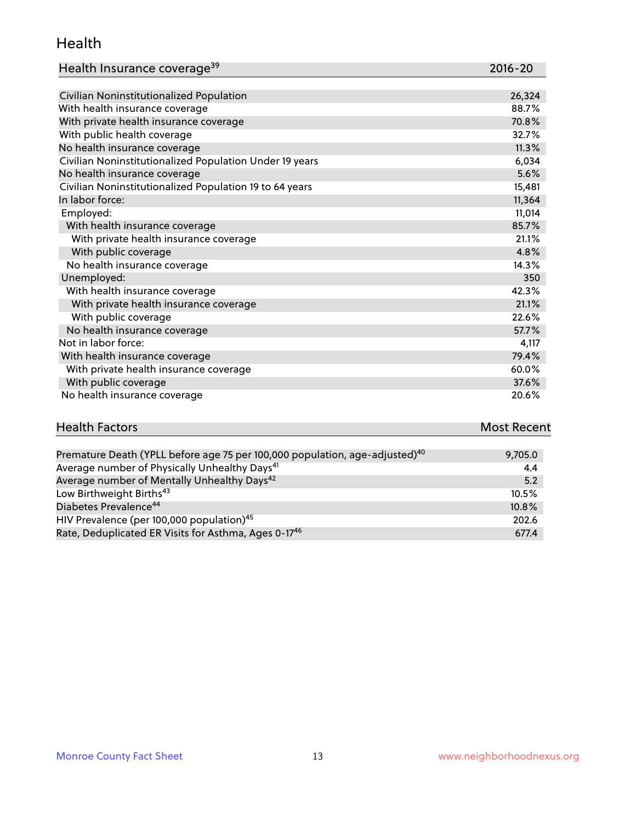#### Health

| Health Insurance coverage <sup>39</sup> | 2016-20 |
|-----------------------------------------|---------|
|-----------------------------------------|---------|

| Civilian Noninstitutionalized Population                | 26,324 |
|---------------------------------------------------------|--------|
| With health insurance coverage                          | 88.7%  |
| With private health insurance coverage                  | 70.8%  |
| With public health coverage                             | 32.7%  |
| No health insurance coverage                            | 11.3%  |
| Civilian Noninstitutionalized Population Under 19 years | 6,034  |
| No health insurance coverage                            | 5.6%   |
| Civilian Noninstitutionalized Population 19 to 64 years | 15,481 |
| In labor force:                                         | 11,364 |
| Employed:                                               | 11,014 |
| With health insurance coverage                          | 85.7%  |
| With private health insurance coverage                  | 21.1%  |
| With public coverage                                    | 4.8%   |
| No health insurance coverage                            | 14.3%  |
| Unemployed:                                             | 350    |
| With health insurance coverage                          | 42.3%  |
| With private health insurance coverage                  | 21.1%  |
| With public coverage                                    | 22.6%  |
| No health insurance coverage                            | 57.7%  |
| Not in labor force:                                     | 4,117  |
| With health insurance coverage                          | 79.4%  |
| With private health insurance coverage                  | 60.0%  |
| With public coverage                                    | 37.6%  |
| No health insurance coverage                            | 20.6%  |

## Health Factors **Most Recent** Premature Death (YPLL before age 75 per 100,000 population, age-adjusted)<sup>40</sup> 9,705.0

| Average number of Physically Unhealthy Days <sup>41</sup>        | 4.4      |
|------------------------------------------------------------------|----------|
| Average number of Mentally Unhealthy Days <sup>42</sup>          | 5.2      |
| Low Birthweight Births <sup>43</sup>                             | $10.5\%$ |
| Diabetes Prevalence <sup>44</sup>                                | 10.8%    |
| HIV Prevalence (per 100,000 population) <sup>45</sup>            | 202.6    |
| Rate, Deduplicated ER Visits for Asthma, Ages 0-17 <sup>46</sup> | 677.4    |